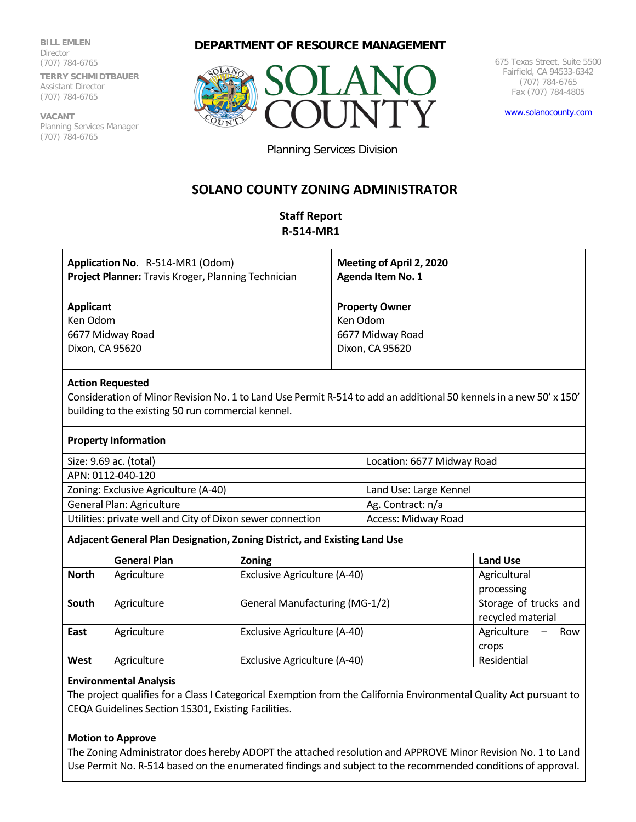**BILL EMLEN Director** (707) 784-6765 **TERRY SCHMIDTBAUER**

Assistant Director (707) 784-6765

**VACANT** Planning Services Manager (707) 784-6765

## **DEPARTMENT OF RESOURCE MANAGEMENT**



675 Texas Street, Suite 5500 Fairfield, CA 94533-6342 (707) 784-6765 Fax (707) 784-4805

[www.solanocounty.com](http://www.solanocounty.com/)

Planning Services Division

# **SOLANO COUNTY ZONING ADMINISTRATOR**

## **Staff Report R-514-MR1**

| Application No. R-514-MR1 (Odom)<br>Project Planner: Travis Kroger, Planning Technician | Meeting of April 2, 2020<br><b>Agenda Item No. 1</b> |
|-----------------------------------------------------------------------------------------|------------------------------------------------------|
| <b>Applicant</b>                                                                        | <b>Property Owner</b>                                |
| Ken Odom                                                                                | Ken Odom                                             |
| 6677 Midway Road                                                                        | 6677 Midway Road                                     |
| Dixon, CA 95620                                                                         | Dixon, CA 95620                                      |
|                                                                                         |                                                      |

#### **Action Requested**

Consideration of Minor Revision No. 1 to Land Use Permit R-514 to add an additional 50 kennels in a new 50' x 150' building to the existing 50 run commercial kennel.

#### **Property Information**

| Size: 9.69 ac. (total) | Location: 6677 Midway Road |
|------------------------|----------------------------|
| APN: 0112-040-120      |                            |

| ALIN, UIILE-UHU-ILU                                        |                        |
|------------------------------------------------------------|------------------------|
| Zoning: Exclusive Agriculture (A-40)                       | Land Use: Large Kennel |
| General Plan: Agriculture                                  | Ag. Contract: n/a      |
| Utilities: private well and City of Dixon sewer connection | Access: Midway Road    |

## **Adjacent General Plan Designation, Zoning District, and Existing Land Use**

|              | <b>General Plan</b> | <b>Zoning</b>                  | <b>Land Use</b>       |  |
|--------------|---------------------|--------------------------------|-----------------------|--|
| <b>North</b> | Agriculture         | Exclusive Agriculture (A-40)   | Agricultural          |  |
|              |                     |                                | processing            |  |
| South        | Agriculture         | General Manufacturing (MG-1/2) | Storage of trucks and |  |
|              |                     |                                | recycled material     |  |
| East         | Agriculture         | Exclusive Agriculture (A-40)   | Agriculture<br>Row    |  |
|              |                     |                                | crops                 |  |
| West         | Agriculture         | Exclusive Agriculture (A-40)   | Residential           |  |

## **Environmental Analysis**

The project qualifies for a Class I Categorical Exemption from the California Environmental Quality Act pursuant to CEQA Guidelines Section 15301, Existing Facilities.

## **Motion to Approve**

The Zoning Administrator does hereby ADOPT the attached resolution and APPROVE Minor Revision No. 1 to Land Use Permit No. R-514 based on the enumerated findings and subject to the recommended conditions of approval.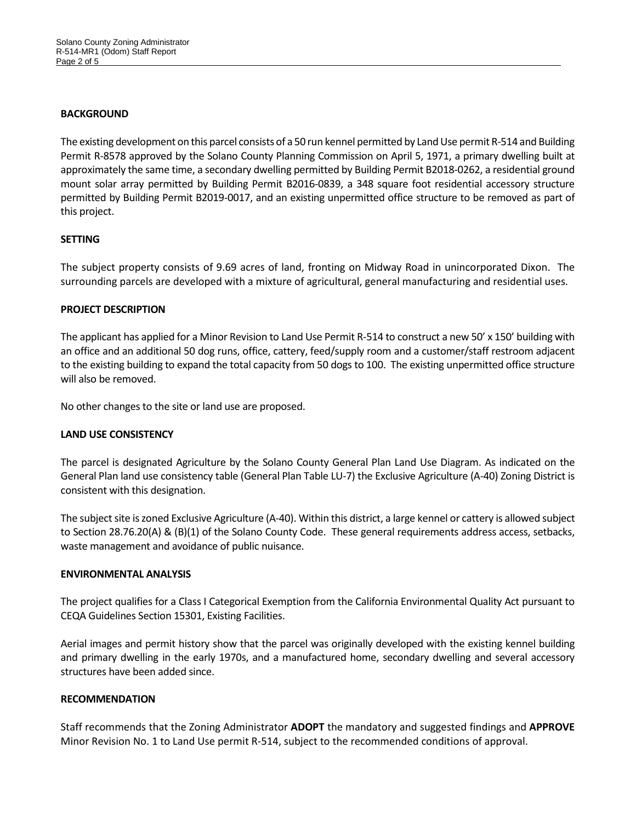#### **BACKGROUND**

The existing development on this parcel consists of a 50 run kennel permitted by Land Use permit R-514 and Building Permit R-8578 approved by the Solano County Planning Commission on April 5, 1971, a primary dwelling built at approximately the same time, a secondary dwelling permitted by Building Permit B2018-0262, a residential ground mount solar array permitted by Building Permit B2016-0839, a 348 square foot residential accessory structure permitted by Building Permit B2019-0017, and an existing unpermitted office structure to be removed as part of this project.

## **SETTING**

The subject property consists of 9.69 acres of land, fronting on Midway Road in unincorporated Dixon. The surrounding parcels are developed with a mixture of agricultural, general manufacturing and residential uses.

## **PROJECT DESCRIPTION**

The applicant has applied for a Minor Revision to Land Use Permit R-514 to construct a new 50' x 150' building with an office and an additional 50 dog runs, office, cattery, feed/supply room and a customer/staff restroom adjacent to the existing building to expand the total capacity from 50 dogs to 100. The existing unpermitted office structure will also be removed.

No other changes to the site or land use are proposed.

## **LAND USE CONSISTENCY**

The parcel is designated Agriculture by the Solano County General Plan Land Use Diagram. As indicated on the General Plan land use consistency table (General Plan Table LU-7) the Exclusive Agriculture (A-40) Zoning District is consistent with this designation.

The subject site is zoned Exclusive Agriculture (A-40). Within this district, a large kennel or cattery is allowed subject to Section 28.76.20(A) & (B)(1) of the Solano County Code. These general requirements address access, setbacks, waste management and avoidance of public nuisance.

## **ENVIRONMENTAL ANALYSIS**

The project qualifies for a Class I Categorical Exemption from the California Environmental Quality Act pursuant to CEQA Guidelines Section 15301, Existing Facilities.

Aerial images and permit history show that the parcel was originally developed with the existing kennel building and primary dwelling in the early 1970s, and a manufactured home, secondary dwelling and several accessory structures have been added since.

## **RECOMMENDATION**

Staff recommends that the Zoning Administrator **ADOPT** the mandatory and suggested findings and **APPROVE** Minor Revision No. 1 to Land Use permit R-514, subject to the recommended conditions of approval.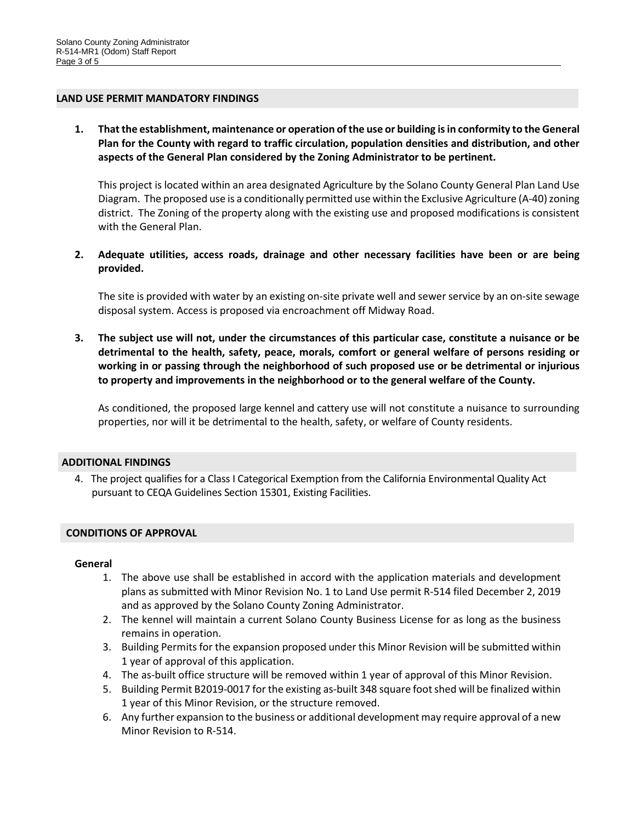#### **LAND USE PERMIT MANDATORY FINDINGS**

**1. That the establishment, maintenance or operation of the use or building is in conformity to the General Plan for the County with regard to traffic circulation, population densities and distribution, and other aspects of the General Plan considered by the Zoning Administrator to be pertinent.**

This project is located within an area designated Agriculture by the Solano County General Plan Land Use Diagram. The proposed use is a conditionally permitted use within the Exclusive Agriculture (A-40) zoning district. The Zoning of the property along with the existing use and proposed modifications is consistent with the General Plan.

**2. Adequate utilities, access roads, drainage and other necessary facilities have been or are being provided.**

The site is provided with water by an existing on-site private well and sewer service by an on-site sewage disposal system. Access is proposed via encroachment off Midway Road.

**3. The subject use will not, under the circumstances of this particular case, constitute a nuisance or be detrimental to the health, safety, peace, morals, comfort or general welfare of persons residing or working in or passing through the neighborhood of such proposed use or be detrimental or injurious to property and improvements in the neighborhood or to the general welfare of the County.**

As conditioned, the proposed large kennel and cattery use will not constitute a nuisance to surrounding properties, nor will it be detrimental to the health, safety, or welfare of County residents.

## **ADDITIONAL FINDINGS**

4. The project qualifies for a Class I Categorical Exemption from the California Environmental Quality Act pursuant to CEQA Guidelines Section 15301, Existing Facilities.

## **CONDITIONS OF APPROVAL**

#### **General**

- 1. The above use shall be established in accord with the application materials and development plans as submitted with Minor Revision No. 1 to Land Use permit R-514 filed December 2, 2019 and as approved by the Solano County Zoning Administrator.
- 2. The kennel will maintain a current Solano County Business License for as long as the business remains in operation.
- 3. Building Permits for the expansion proposed under this Minor Revision will be submitted within 1 year of approval of this application.
- 4. The as-built office structure will be removed within 1 year of approval of this Minor Revision.
- 5. Building Permit B2019-0017 for the existing as-built 348 square foot shed will be finalized within 1 year of this Minor Revision, or the structure removed.
- 6. Any further expansion to the business or additional development may require approval of a new Minor Revision to R-514.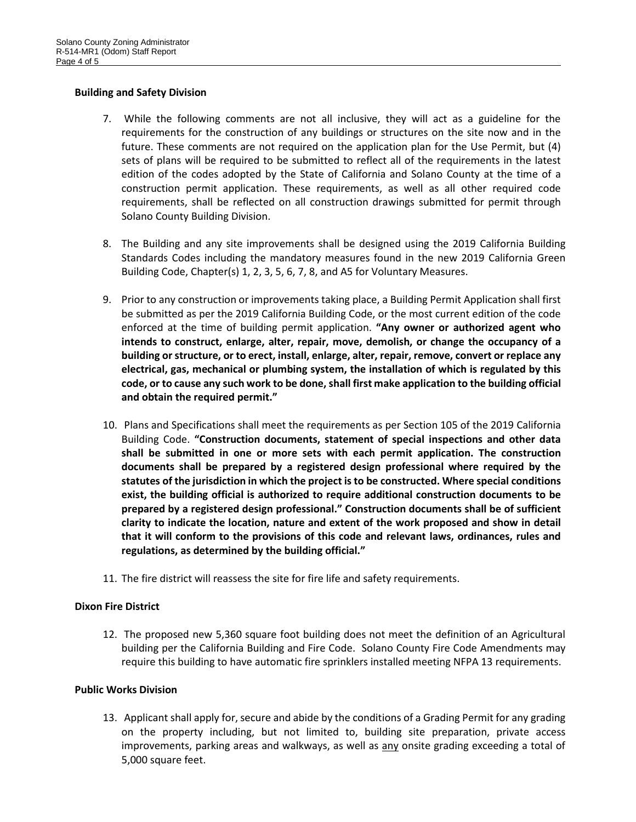## **Building and Safety Division**

- 7. While the following comments are not all inclusive, they will act as a guideline for the requirements for the construction of any buildings or structures on the site now and in the future. These comments are not required on the application plan for the Use Permit, but (4) sets of plans will be required to be submitted to reflect all of the requirements in the latest edition of the codes adopted by the State of California and Solano County at the time of a construction permit application. These requirements, as well as all other required code requirements, shall be reflected on all construction drawings submitted for permit through Solano County Building Division.
- 8. The Building and any site improvements shall be designed using the 2019 California Building Standards Codes including the mandatory measures found in the new 2019 California Green Building Code, Chapter(s) 1, 2, 3, 5, 6, 7, 8, and A5 for Voluntary Measures.
- 9. Prior to any construction or improvements taking place, a Building Permit Application shall first be submitted as per the 2019 California Building Code, or the most current edition of the code enforced at the time of building permit application. **"Any owner or authorized agent who intends to construct, enlarge, alter, repair, move, demolish, or change the occupancy of a building or structure, or to erect, install, enlarge, alter, repair, remove, convert or replace any electrical, gas, mechanical or plumbing system, the installation of which is regulated by this code, or to cause any such work to be done, shall first make application to the building official and obtain the required permit."**
- 10. Plans and Specifications shall meet the requirements as per Section 105 of the 2019 California Building Code. **"Construction documents, statement of special inspections and other data shall be submitted in one or more sets with each permit application. The construction documents shall be prepared by a registered design professional where required by the statutes of the jurisdiction in which the project is to be constructed. Where special conditions exist, the building official is authorized to require additional construction documents to be prepared by a registered design professional." Construction documents shall be of sufficient clarity to indicate the location, nature and extent of the work proposed and show in detail that it will conform to the provisions of this code and relevant laws, ordinances, rules and regulations, as determined by the building official."**
- 11. The fire district will reassess the site for fire life and safety requirements.

## **Dixon Fire District**

12. The proposed new 5,360 square foot building does not meet the definition of an Agricultural building per the California Building and Fire Code. Solano County Fire Code Amendments may require this building to have automatic fire sprinklers installed meeting NFPA 13 requirements.

## **Public Works Division**

13. Applicant shall apply for, secure and abide by the conditions of a Grading Permit for any grading on the property including, but not limited to, building site preparation, private access improvements, parking areas and walkways, as well as  $\frac{any}{any}$  onsite grading exceeding a total of 5,000 square feet.